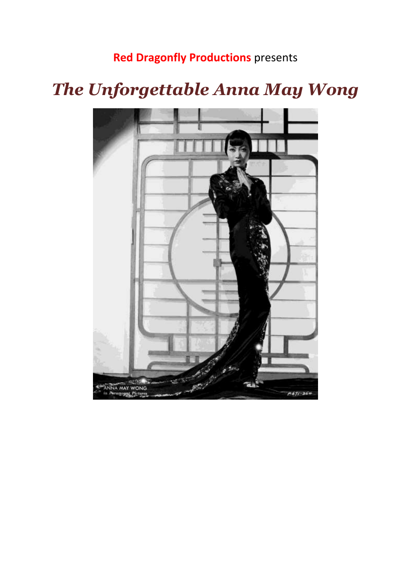### **Red Dragonfly Productions** presents

# *The Unforgettable Anna May Wong*

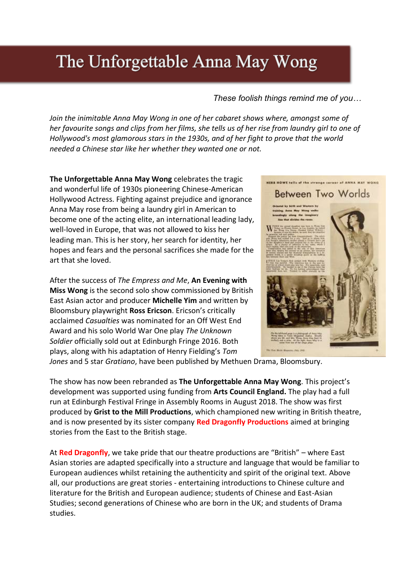## The Unforgettable Anna May Wong

### *These foolish things remind me of you…*

*Join the inimitable Anna May Wong in one of her cabaret shows where, amongst some of her favourite songs and clips from her films, she tells us of her rise from laundry girl to one of Hollywood's most glamorous stars in the 1930s, and of her fight to prove that the world needed a Chinese star like her whether they wanted one or not.* 

**The Unforgettable Anna May Wong** celebrates the tragic and wonderful life of 1930s pioneering Chinese-American Hollywood Actress. Fighting against prejudice and ignorance Anna May rose from being a laundry girl in American to become one of the acting elite, an international leading lady, well-loved in Europe, that was not allowed to kiss her leading man. This is her story, her search for identity, her hopes and fears and the personal sacrifices she made for the art that she loved.

After the success of *The Empress and Me*, **An Evening with Miss Wong** is the second solo show commissioned by British East Asian actor and producer **Michelle Yim** and written by Bloomsbury playwright **Ross Ericson**. Ericson's critically acclaimed *Casualties* was nominated for an Off West End Award and his solo World War One play *The Unknown Soldier* officially sold out at Edinburgh Fringe 2016. Both plays, along with his adaptation of Henry Fielding's *Tom* 



*Jones* and 5 star *Gratiano*, have been published by Methuen Drama, Bloomsbury.

The show has now been rebranded as **The Unforgettable Anna May Wong**. This project's development was supported using funding from **Arts Council England.** The play had a full run at Edinburgh Festival Fringe in Assembly Rooms in August 2018. The show was first produced by **Grist to the Mill Productions**, which championed new writing in British theatre, and is now presented by its sister company **Red Dragonfly Productions** aimed at bringing stories from the East to the British stage.

At **Red Dragonfly**, we take pride that our theatre productions are "British" – where East Asian stories are adapted specifically into a structure and language that would be familiar to European audiences whilst retaining the authenticity and spirit of the original text. Above all, our productions are great stories - entertaining introductions to Chinese culture and literature for the British and European audience; students of Chinese and East-Asian Studies; second generations of Chinese who are born in the UK; and students of Drama studies.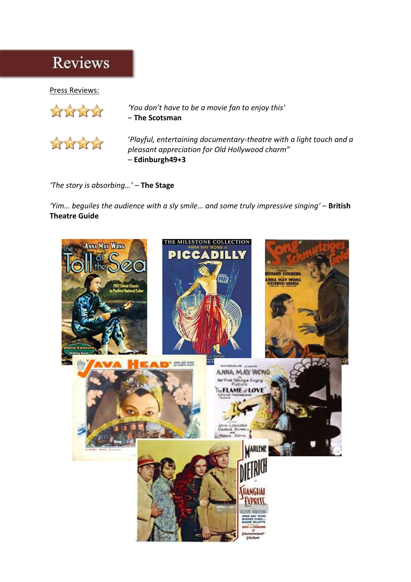### Reviews

#### Press Reviews:



*'You don't have to be a movie fan to enjoy this'* – **The Scotsman**



'*Playful, entertaining documentary-theatre with a light touch and a pleasant appreciation for Old Hollywood charm"* – **Edinburgh49+3**

*'The story is absorbing…'* – **The Stage**

*'Yim… beguiles the audience with a sly smile… and some truly impressive singing'* – **British Theatre Guide**

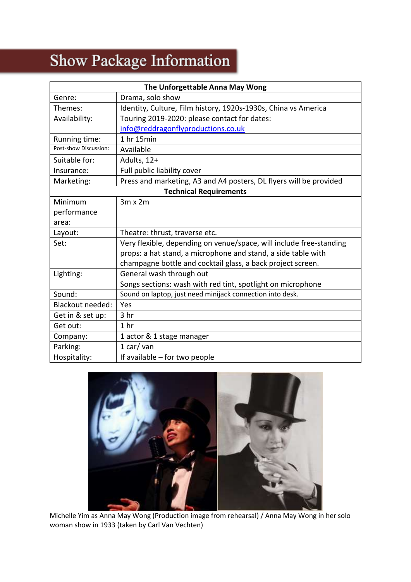# Show Package Information

| The Unforgettable Anna May Wong |                                                                     |
|---------------------------------|---------------------------------------------------------------------|
| Genre:                          | Drama, solo show                                                    |
| Themes:                         | Identity, Culture, Film history, 1920s-1930s, China vs America      |
| Availability:                   | Touring 2019-2020: please contact for dates:                        |
|                                 | info@reddragonflyproductions.co.uk                                  |
| Running time:                   | 1 hr 15min                                                          |
| Post-show Discussion:           | Available                                                           |
| Suitable for:                   | Adults, 12+                                                         |
| Insurance:                      | Full public liability cover                                         |
| Marketing:                      | Press and marketing, A3 and A4 posters, DL flyers will be provided  |
| <b>Technical Requirements</b>   |                                                                     |
| Minimum                         | $3m \times 2m$                                                      |
| performance                     |                                                                     |
| area:                           |                                                                     |
| Layout:                         | Theatre: thrust, traverse etc.                                      |
| Set:                            | Very flexible, depending on venue/space, will include free-standing |
|                                 | props: a hat stand, a microphone and stand, a side table with       |
|                                 | champagne bottle and cocktail glass, a back project screen.         |
| Lighting:                       | General wash through out                                            |
|                                 | Songs sections: wash with red tint, spotlight on microphone         |
| Sound:                          | Sound on laptop, just need minijack connection into desk.           |
| <b>Blackout needed:</b>         | Yes                                                                 |
| Get in & set up:                | 3 <sub>hr</sub>                                                     |
| Get out:                        | 1 <sub>hr</sub>                                                     |
| Company:                        | 1 actor & 1 stage manager                                           |
| Parking:                        | 1 car/van                                                           |
| Hospitality:                    | If available - for two people                                       |



Michelle Yim as Anna May Wong (Production image from rehearsal) / Anna May Wong in her solo woman show in 1933 (taken by Carl Van Vechten)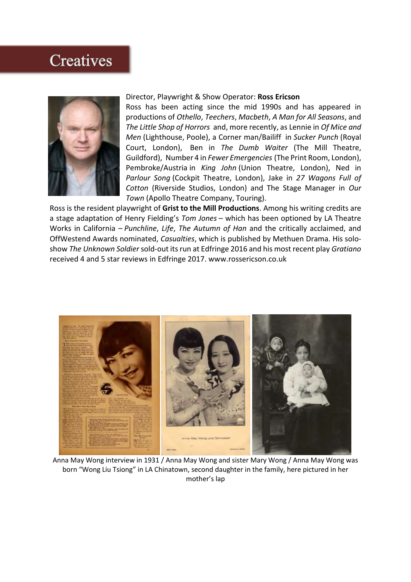### **Creatives**



#### Director, Playwright & Show Operator: **Ross Ericson**

Ross has been acting since the mid 1990s and has appeared in productions of *Othello*, *Teechers*, *Macbeth*, *A Man for All Seasons*, and *The Little Shop of Horrors* and, more recently, as Lennie in *Of Mice and Men* (Lighthouse, Poole), a Corner man/Bailiff in *Sucker Punch* (Royal Court, London), Ben in *The Dumb Waiter* (The Mill Theatre, Guildford), Number 4 in *Fewer Emergencies* (The Print Room, London), Pembroke/Austria in *King John* (Union Theatre, London), Ned in *Parlour Song* (Cockpit Theatre, London), Jake in *27 Wagons Full of Cotton* (Riverside Studios, London) and The Stage Manager in *Our Town* (Apollo Theatre Company, Touring).

Ross is the resident playwright of **Grist to the Mill Productions**. Among his writing credits are a stage adaptation of Henry Fielding's *Tom Jones* – which has been optioned by LA Theatre Works in California – *Punchline*, *Life*, *The Autumn of Han* and the critically acclaimed, and OffWestend Awards nominated, *Casualties*, which is published by Methuen Drama. His soloshow *The Unknown Soldier*sold-out its run at Edfringe 2016 and his most recent play *Gratiano* received 4 and 5 star reviews in Edfringe 2017. www.rossericson.co.uk



Anna May Wong interview in 1931 / Anna May Wong and sister Mary Wong / Anna May Wong was born "Wong Liu Tsiong" in LA Chinatown, second daughter in the family, here pictured in her mother's lap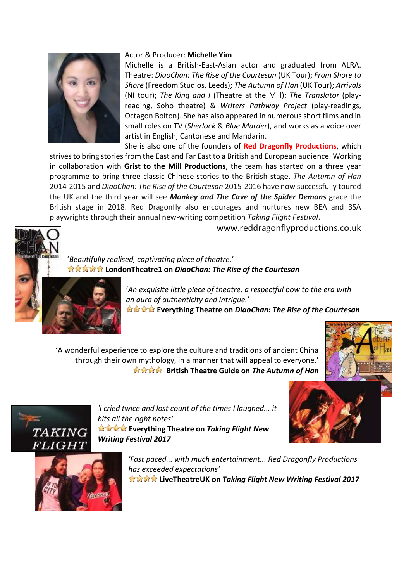

#### Actor & Producer: **Michelle Yim**

Michelle is a British-East-Asian actor and graduated from ALRA. Theatre: *DiaoChan: The Rise of the Courtesan* (UK Tour); *From Shore to Shore* (Freedom Studios, Leeds); *The Autumn of Han* (UK Tour); *Arrivals* (NI tour); *The King and I* (Theatre at the Mill); *The Translator* (playreading, Soho theatre) & *Writers Pathway Project* (play-readings, Octagon Bolton). She has also appeared in numerous short films and in small roles on TV (*Sherlock* & *Blue Murder*), and works as a voice over artist in English, Cantonese and Mandarin.

She is also one of the founders of **Red Dragonfly Productions**, which strives to bring stories from the East and Far East to a British and European audience. Working in collaboration with **Grist to the Mill Productions**, the team has started on a three year programme to bring three classic Chinese stories to the British stage. *The Autumn of Han* 2014-2015 and *DiaoChan: The Rise of the Courtesan* 2015-2016 have now successfully toured the UK and the third year will see *Monkey and The Cave of the Spider Demons* grace the British stage in 2018. Red Dragonfly also encourages and nurtures new BEA and BSA playwrights through their annual new-writing competition *Taking Flight Festival*.



www.reddragonflyproductions.co.uk

'*Beautifully realised, captivating piece of theatre.*' **LondonTheatre1 on** *DiaoChan: The Rise of the Courtesan*

> '*An exquisite little piece of theatre, a respectful bow to the era with an aura of authenticity and intrigue.*' **Everything Theatre on** *DiaoChan: The Rise of the Courtesan*

'A wonderful experience to explore the culture and traditions of ancient China through their own mythology, in a manner that will appeal to everyone.' **British Theatre Guide on The Autumn of Han** 









*'Fast paced... with much entertainment... Red Dragonfly Productions has exceeded expectations'* **LiveTheatreUK on** *Taking Flight New Writing Festival 2017*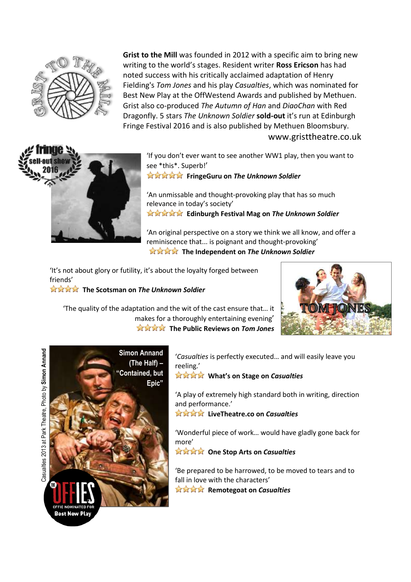

**Grist to the Mill** was founded in 2012 with a specific aim to bring new writing to the world's stages. Resident writer **Ross Ericson** has had noted success with his critically acclaimed adaptation of Henry Fielding's *Tom Jones* and his play *Casualties*, which was nominated for Best New Play at the OffWestend Awards and published by Methuen. Grist also co-produced *The Autumn of Han* and *DiaoChan* with Red Dragonfly. 5 stars *The Unknown Soldier* **sold-out** it's run at Edinburgh Fringe Festival 2016 and is also published by Methuen Bloomsbury. www.gristtheatre.co.uk



'If you don't ever want to see another WW1 play, then you want to see \*this\*. Superb!'

**FringeGuru on The Unknown Soldier** 

'An unmissable and thought-provoking play that has so much relevance in today's society' **Edinburgh Festival Mag on** *The Unknown Soldier*

'An original perspective on a story we think we all know, and offer a reminiscence that... is poignant and thought-provoking' **The Independent on The Unknown Soldier** 

'It's not about glory or futility, it's about the loyalty forged between friends'

**The Scotsman on The Unknown Soldier** 





'*Casualties* is perfectly executed… and will easily leave you reeling.'

 **What's on Stage on** *Casualties*

'A play of extremely high standard both in writing, direction and performance.'

 **LiveTheatre.co on** *Casualties*

'Wonderful piece of work… would have gladly gone back for more'

 **One Stop Arts on** *Casualties*

'Be prepared to be harrowed, to be moved to tears and to fall in love with the characters' **Remotegoat on Casualties**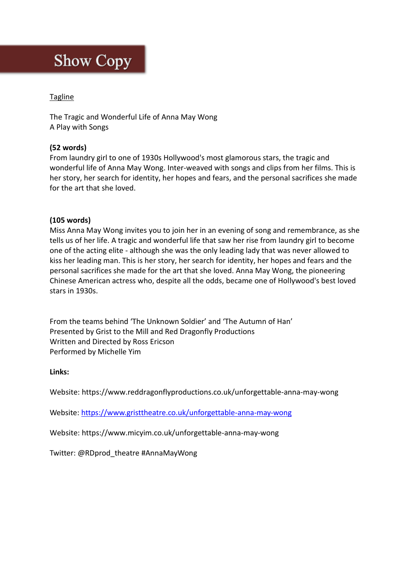## **Show Copy**

#### **Tagline**

The Tragic and Wonderful Life of Anna May Wong A Play with Songs

### **(52 words)**

From laundry girl to one of 1930s Hollywood's most glamorous stars, the tragic and wonderful life of Anna May Wong. Inter-weaved with songs and clips from her films. This is her story, her search for identity, her hopes and fears, and the personal sacrifices she made for the art that she loved.

#### **(105 words)**

Miss Anna May Wong invites you to join her in an evening of song and remembrance, as she tells us of her life. A tragic and wonderful life that saw her rise from laundry girl to become one of the acting elite - although she was the only leading lady that was never allowed to kiss her leading man. This is her story, her search for identity, her hopes and fears and the personal sacrifices she made for the art that she loved. Anna May Wong, the pioneering Chinese American actress who, despite all the odds, became one of Hollywood's best loved stars in 1930s.

From the teams behind 'The Unknown Soldier' and 'The Autumn of Han' Presented by Grist to the Mill and Red Dragonfly Productions Written and Directed by Ross Ericson Performed by Michelle Yim

#### **Links:**

Website: [https://www.reddragonflyproductions.co.uk/u](https://www.reddragonflyproductions.co.uk/an-evening-with-miss-wong)nforgettable-anna-may-wong

Website:<https://www.gristtheatre.co.uk/unforgettable-anna-may-wong>

Website: [https://www.micyim.co.uk/u](https://www.micyim.co.uk/an-evening-with-miss-wong)nforgettable-anna-may-wong

Twitter: @RDprod\_theatre #AnnaMayWong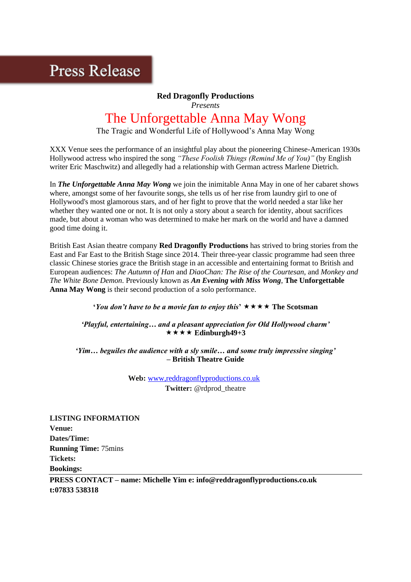### **Press Release**

### **Red Dragonfly Productions**

*Presents*

### The Unforgettable Anna May Wong

The Tragic and Wonderful Life of Hollywood's Anna May Wong

XXX Venue sees the performance of an insightful play about the pioneering Chinese-American 1930s Hollywood actress who inspired the song *"These Foolish Things (Remind Me of You)"* (by English writer Eric Maschwitz) and allegedly had a relationship with German actress Marlene Dietrich.

In *The Unforgettable Anna May Wong* we join the inimitable Anna May in one of her cabaret shows where, amongst some of her favourite songs, she tells us of her rise from laundry girl to one of Hollywood's most glamorous stars, and of her fight to prove that the world needed a star like her whether they wanted one or not. It is not only a story about a search for identity, about sacrifices made, but about a woman who was determined to make her mark on the world and have a damned good time doing it.

British East Asian theatre company **Red Dragonfly Productions** has strived to bring stories from the East and Far East to the British Stage since 2014. Their three-year classic programme had seen three classic Chinese stories grace the British stage in an accessible and entertaining format to British and European audiences: *The Autumn of Han* and *DiaoChan: The Rise of the Courtesan*, and *Monkey and The White Bone Demon*. Previously known as *An Evening with Miss Wong*, **The Unforgettable Anna May Wong** is their second production of a solo performance.

**'You don't have to be a movie fan to enjoy this'**  $\star \star \star \star$  The Scotsman

*'Playful, entertaining… and a pleasant appreciation for Old Hollywood charm'*  $\star \star \star \star$  Edinburgh49+3

*'Yim… beguiles the audience with a sly smile… and some truly impressive singing'* **– British Theatre Guide**

> **Web:** [www,reddragonflyproductions.co.uk](http://www.gristtheatre.co.uk/) **Twitter:** @rdprod\_theatre

**LISTING INFORMATION Venue: Dates/Time: Running Time:** 75mins **Tickets: Bookings:** 

**PRESS CONTACT – name: Michelle Yim e: info@reddragonflyproductions.co.uk t:07833 538318**